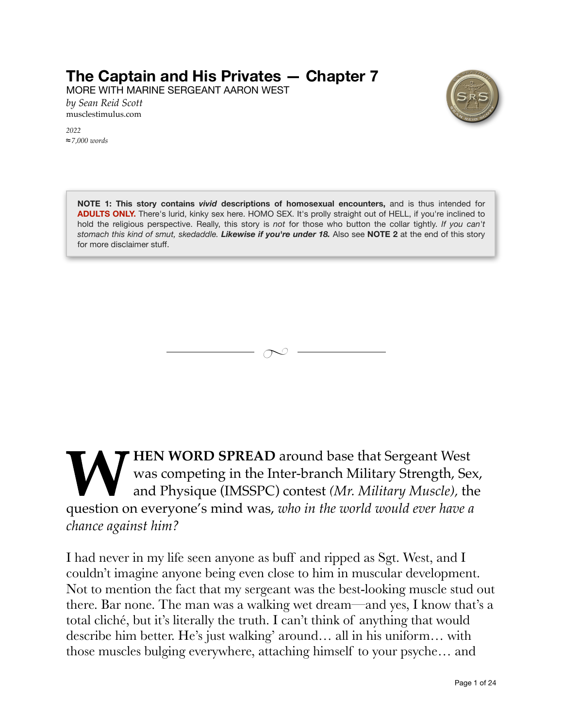## **The Captain and His Privates — Chapter 7**

MORE WITH MARINE SERGEANT AARON WEST

*by Sean Reid Scott* [musclestimulus.com](http://musclestimulus.com)

*2022 7,000 words*



**NOTE 1: This story contains** *vivid* **descriptions of homosexual encounters,** and is thus intended for **ADULTS ONLY.** There's lurid, kinky sex here. HOMO SEX. It's prolly straight out of HELL, if you're inclined to hold the religious perspective. Really, this story is *not* for those who button the collar tightly. *If you can't stomach this kind of smut, skedaddle. Likewise if you're under 18.* Also see **NOTE 2** at the end of this story for more disclaimer stuff.



WORD SPREAD around base that Sergeant West<br>was competing in the Inter-branch Military Strength, Sergeant Physique (IMSSPC) contest (Mr. Military Muscle), the<br>question on everyone's mind was, who in the world would ever hav was competing in the Inter-branch Military Strength, Sex, and Physique (IMSSPC) contest *(Mr. Military Muscle),* the question on everyone's mind was, *who in the world would ever have a chance against him?*

I had never in my life seen anyone as buff and ripped as Sgt. West, and I couldn't imagine anyone being even close to him in muscular development. Not to mention the fact that my sergeant was the best-looking muscle stud out there. Bar none. The man was a walking wet dream—and yes, I know that's a total cliché, but it's literally the truth. I can't think of anything that would describe him better. He's just walking' around… all in his uniform… with those muscles bulging everywhere, attaching himself to your psyche… and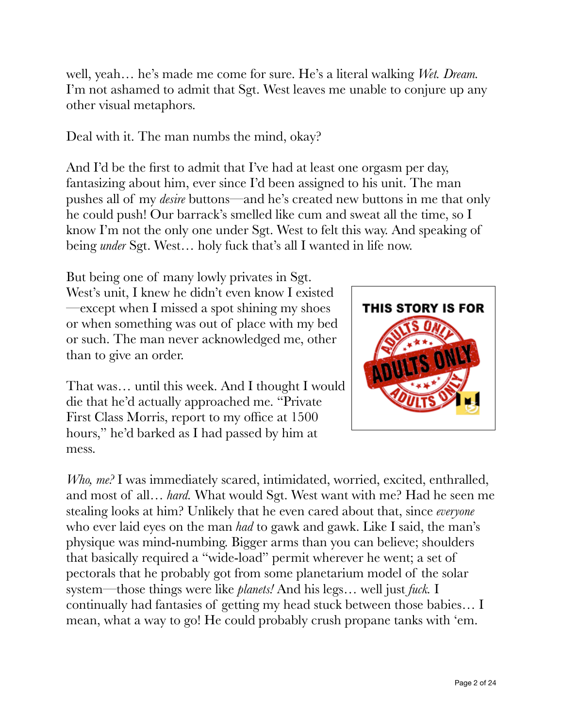well, yeah… he's made me come for sure. He's a literal walking *Wet. Dream.*  I'm not ashamed to admit that Sgt. West leaves me unable to conjure up any other visual metaphors.

Deal with it. The man numbs the mind, okay?

And I'd be the first to admit that I've had at least one orgasm per day, fantasizing about him, ever since I'd been assigned to his unit. The man pushes all of my *desire* buttons—and he's created new buttons in me that only he could push! Our barrack's smelled like cum and sweat all the time, so I know I'm not the only one under Sgt. West to felt this way. And speaking of being *under* Sgt. West… holy fuck that's all I wanted in life now.

But being one of many lowly privates in Sgt. West's unit, I knew he didn't even know I existed —except when I missed a spot shining my shoes or when something was out of place with my bed or such. The man never acknowledged me, other than to give an order.

That was… until this week. And I thought I would die that he'd actually approached me. "Private First Class Morris, report to my office at 1500 hours," he'd barked as I had passed by him at mess.

*Who, me?* I was immediately scared, intimidated, worried, excited, enthralled, and most of all… *hard.* What would Sgt. West want with me? Had he seen me stealing looks at him? Unlikely that he even cared about that, since *everyone* who ever laid eyes on the man *had* to gawk and gawk. Like I said, the man's physique was mind-numbing. Bigger arms than you can believe; shoulders that basically required a "wide-load" permit wherever he went; a set of pectorals that he probably got from some planetarium model of the solar system—those things were like *planets!* And his legs… well just *fuck.* I continually had fantasies of getting my head stuck between those babies… I mean, what a way to go! He could probably crush propane tanks with 'em.

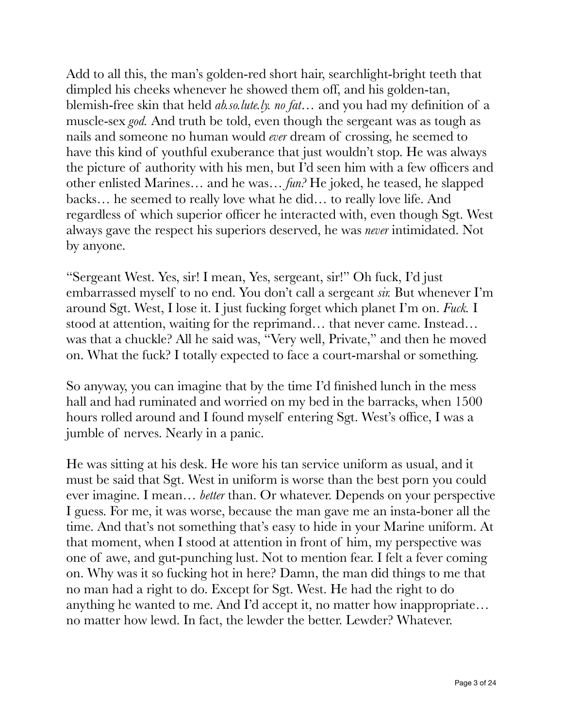Add to all this, the man's golden-red short hair, searchlight-bright teeth that dimpled his cheeks whenever he showed them off, and his golden-tan, blemish-free skin that held *ab.so.lute.ly. no fat…* and you had my definition of a muscle-sex *god.* And truth be told, even though the sergeant was as tough as nails and someone no human would *ever* dream of crossing, he seemed to have this kind of youthful exuberance that just wouldn't stop. He was always the picture of authority with his men, but I'd seen him with a few officers and other enlisted Marines… and he was… *fun?* He joked, he teased, he slapped backs… he seemed to really love what he did… to really love life. And regardless of which superior officer he interacted with, even though Sgt. West always gave the respect his superiors deserved, he was *never* intimidated. Not by anyone.

"Sergeant West. Yes, sir! I mean, Yes, sergeant, sir!" Oh fuck, I'd just embarrassed myself to no end. You don't call a sergeant *sir.* But whenever I'm around Sgt. West, I lose it. I just fucking forget which planet I'm on. *Fuck.* I stood at attention, waiting for the reprimand… that never came. Instead… was that a chuckle? All he said was, "Very well, Private," and then he moved on. What the fuck? I totally expected to face a court-marshal or something.

So anyway, you can imagine that by the time I'd finished lunch in the mess hall and had ruminated and worried on my bed in the barracks, when 1500 hours rolled around and I found myself entering Sgt. West's office, I was a jumble of nerves. Nearly in a panic.

He was sitting at his desk. He wore his tan service uniform as usual, and it must be said that Sgt. West in uniform is worse than the best porn you could ever imagine. I mean… *better* than. Or whatever. Depends on your perspective I guess. For me, it was worse, because the man gave me an insta-boner all the time. And that's not something that's easy to hide in your Marine uniform. At that moment, when I stood at attention in front of him, my perspective was one of awe, and gut-punching lust. Not to mention fear. I felt a fever coming on. Why was it so fucking hot in here? Damn, the man did things to me that no man had a right to do. Except for Sgt. West. He had the right to do anything he wanted to me. And I'd accept it, no matter how inappropriate… no matter how lewd. In fact, the lewder the better. Lewder? Whatever.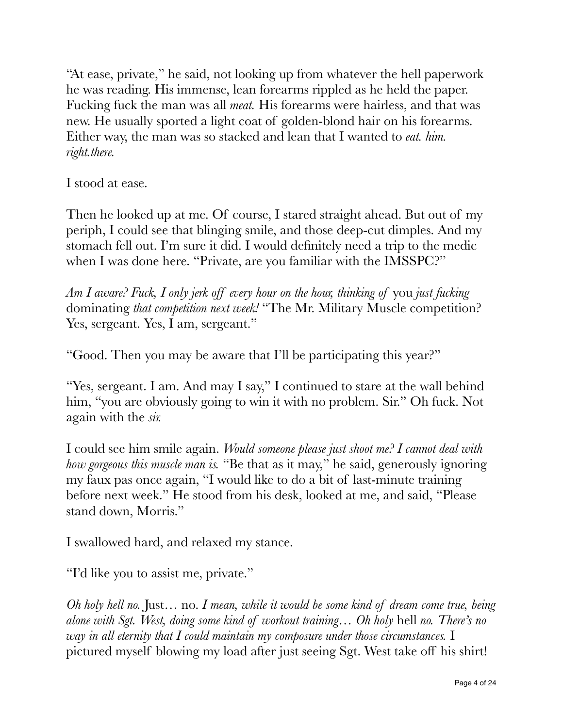"At ease, private," he said, not looking up from whatever the hell paperwork he was reading. His immense, lean forearms rippled as he held the paper. Fucking fuck the man was all *meat.* His forearms were hairless, and that was new. He usually sported a light coat of golden-blond hair on his forearms. Either way, the man was so stacked and lean that I wanted to *eat. him. right.there.*

I stood at ease.

Then he looked up at me. Of course, I stared straight ahead. But out of my periph, I could see that blinging smile, and those deep-cut dimples. And my stomach fell out. I'm sure it did. I would definitely need a trip to the medic when I was done here. "Private, are you familiar with the IMSSPC?"

*Am I aware? Fuck, I only jerk off every hour on the hour, thinking of* you *just fucking*  dominating *that competition next week!* "The Mr. Military Muscle competition? Yes, sergeant. Yes, I am, sergeant."

"Good. Then you may be aware that I'll be participating this year?"

"Yes, sergeant. I am. And may I say," I continued to stare at the wall behind him, "you are obviously going to win it with no problem. Sir." Oh fuck. Not again with the *sir.*

I could see him smile again. *Would someone please just shoot me? I cannot deal with how gorgeous this muscle man is.* "Be that as it may," he said, generously ignoring my faux pas once again, "I would like to do a bit of last-minute training before next week." He stood from his desk, looked at me, and said, "Please stand down, Morris."

I swallowed hard, and relaxed my stance.

"I'd like you to assist me, private."

*Oh holy hell no.* Just… no. *I mean, while it would be some kind of dream come true, being alone with Sgt. West, doing some kind of workout training… Oh holy* hell *no. There's no way in all eternity that I could maintain my composure under those circumstances.* I pictured myself blowing my load after just seeing Sgt. West take off his shirt!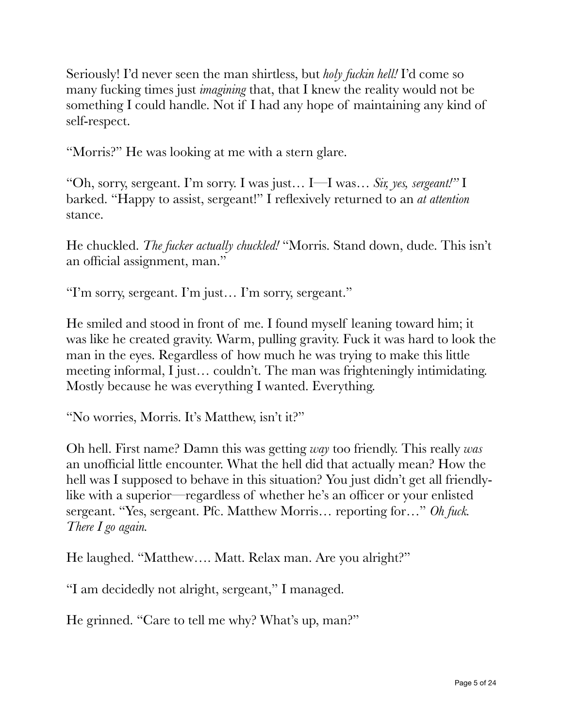Seriously! I'd never seen the man shirtless, but *holy fuckin hell!* I'd come so many fucking times just *imagining* that, that I knew the reality would not be something I could handle. Not if I had any hope of maintaining any kind of self-respect.

"Morris?" He was looking at me with a stern glare.

"Oh, sorry, sergeant. I'm sorry. I was just… I—I was… *Sir, yes, sergeant!"* I barked. "Happy to assist, sergeant!" I reflexively returned to an *at attention* stance.

He chuckled. *The fucker actually chuckled!* "Morris. Stand down, dude. This isn't an official assignment, man."

"I'm sorry, sergeant. I'm just… I'm sorry, sergeant."

He smiled and stood in front of me. I found myself leaning toward him; it was like he created gravity. Warm, pulling gravity. Fuck it was hard to look the man in the eyes. Regardless of how much he was trying to make this little meeting informal, I just… couldn't. The man was frighteningly intimidating. Mostly because he was everything I wanted. Everything.

"No worries, Morris. It's Matthew, isn't it?"

Oh hell. First name? Damn this was getting *way* too friendly. This really *was* an unofficial little encounter. What the hell did that actually mean? How the hell was I supposed to behave in this situation? You just didn't get all friendlylike with a superior—regardless of whether he's an officer or your enlisted sergeant. "Yes, sergeant. Pfc. Matthew Morris… reporting for…" *Oh fuck. There I go again.*

He laughed. "Matthew…. Matt. Relax man. Are you alright?"

"I am decidedly not alright, sergeant," I managed.

He grinned. "Care to tell me why? What's up, man?"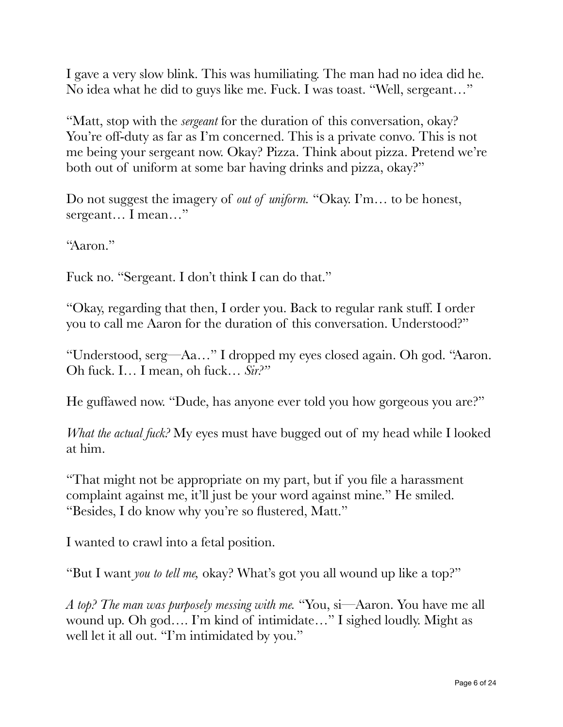I gave a very slow blink. This was humiliating. The man had no idea did he. No idea what he did to guys like me. Fuck. I was toast. "Well, sergeant…"

"Matt, stop with the *sergeant* for the duration of this conversation, okay? You're off-duty as far as I'm concerned. This is a private convo. This is not me being your sergeant now. Okay? Pizza. Think about pizza. Pretend we're both out of uniform at some bar having drinks and pizza, okay?"

Do not suggest the imagery of *out of uniform.* "Okay. I'm… to be honest, sergeant… I mean…"

"Aaron."

Fuck no. "Sergeant. I don't think I can do that."

"Okay, regarding that then, I order you. Back to regular rank stuff. I order you to call me Aaron for the duration of this conversation. Understood?"

"Understood, serg—Aa…" I dropped my eyes closed again. Oh god. "Aaron. Oh fuck. I… I mean, oh fuck… *Sir?"*

He guffawed now. "Dude, has anyone ever told you how gorgeous you are?"

*What the actual fuck?* My eyes must have bugged out of my head while I looked at him.

"That might not be appropriate on my part, but if you file a harassment complaint against me, it'll just be your word against mine." He smiled. "Besides, I do know why you're so flustered, Matt."

I wanted to crawl into a fetal position.

"But I want *you to tell me,* okay? What's got you all wound up like a top?"

*A top? The man was purposely messing with me.* "You, si—Aaron. You have me all wound up. Oh god…. I'm kind of intimidate…" I sighed loudly. Might as well let it all out. "I'm intimidated by you."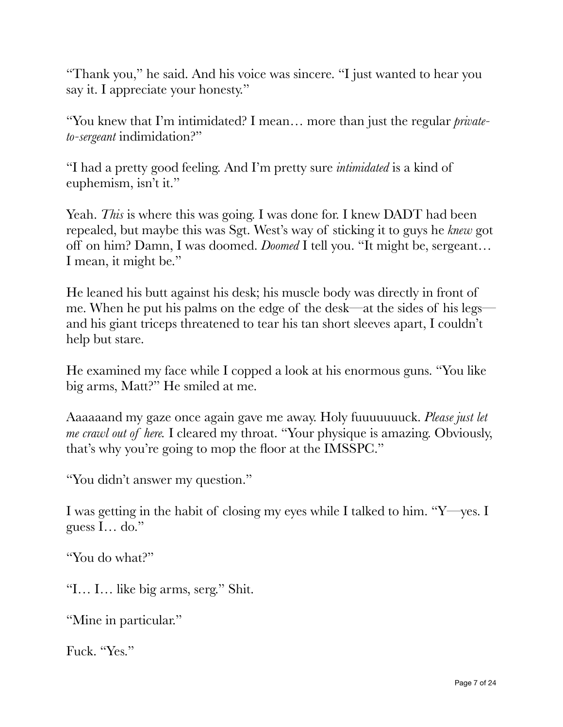"Thank you," he said. And his voice was sincere. "I just wanted to hear you say it. I appreciate your honesty."

"You knew that I'm intimidated? I mean… more than just the regular *privateto-sergeant* indimidation?"

"I had a pretty good feeling. And I'm pretty sure *intimidated* is a kind of euphemism, isn't it."

Yeah. *This* is where this was going. I was done for. I knew DADT had been repealed, but maybe this was Sgt. West's way of sticking it to guys he *knew* got off on him? Damn, I was doomed. *Doomed* I tell you. "It might be, sergeant… I mean, it might be."

He leaned his butt against his desk; his muscle body was directly in front of me. When he put his palms on the edge of the desk—at the sides of his legs and his giant triceps threatened to tear his tan short sleeves apart, I couldn't help but stare.

He examined my face while I copped a look at his enormous guns. "You like big arms, Matt?" He smiled at me.

Aaaaaand my gaze once again gave me away. Holy fuuuuuuuck. *Please just let me crawl out of here.* I cleared my throat. "Your physique is amazing. Obviously, that's why you're going to mop the floor at the IMSSPC."

"You didn't answer my question."

I was getting in the habit of closing my eyes while I talked to him. "Y—yes. I guess I… do."

"You do what?"

"I… I… like big arms, serg." Shit.

"Mine in particular."

Fuck. "Yes."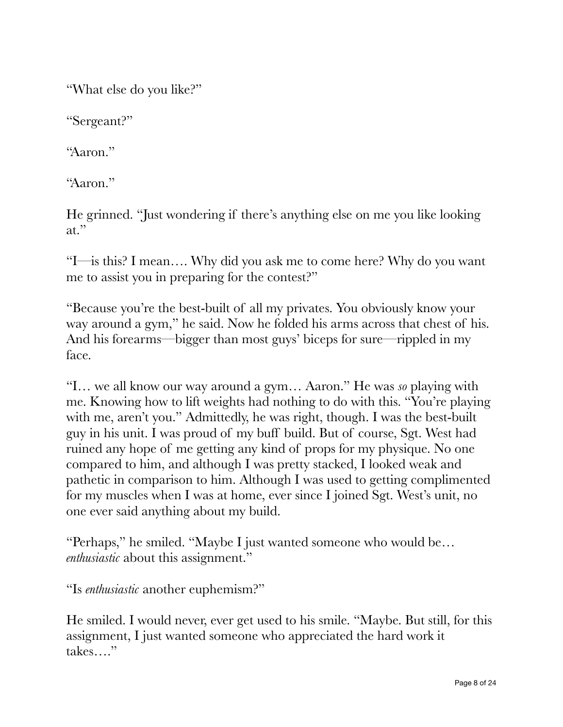"What else do you like?"

"Sergeant?"

"Aaron."

"Aaron."

He grinned. "Just wondering if there's anything else on me you like looking at."

"I—is this? I mean…. Why did you ask me to come here? Why do you want me to assist you in preparing for the contest?"

"Because you're the best-built of all my privates. You obviously know your way around a gym," he said. Now he folded his arms across that chest of his. And his forearms—bigger than most guys' biceps for sure—rippled in my face.

"I… we all know our way around a gym… Aaron." He was *so* playing with me. Knowing how to lift weights had nothing to do with this. "You're playing with me, aren't you." Admittedly, he was right, though. I was the best-built guy in his unit. I was proud of my buff build. But of course, Sgt. West had ruined any hope of me getting any kind of props for my physique. No one compared to him, and although I was pretty stacked, I looked weak and pathetic in comparison to him. Although I was used to getting complimented for my muscles when I was at home, ever since I joined Sgt. West's unit, no one ever said anything about my build.

"Perhaps," he smiled. "Maybe I just wanted someone who would be… *enthusiastic* about this assignment."

"Is *enthusiastic* another euphemism?"

He smiled. I would never, ever get used to his smile. "Maybe. But still, for this assignment, I just wanted someone who appreciated the hard work it takes…."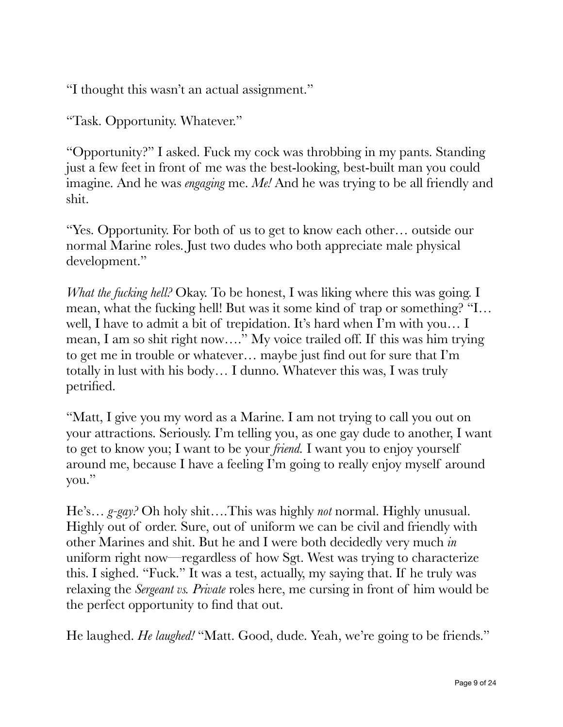"I thought this wasn't an actual assignment."

"Task. Opportunity. Whatever."

"Opportunity?" I asked. Fuck my cock was throbbing in my pants. Standing just a few feet in front of me was the best-looking, best-built man you could imagine. And he was *engaging* me. *Me!* And he was trying to be all friendly and shit.

"Yes. Opportunity. For both of us to get to know each other… outside our normal Marine roles. Just two dudes who both appreciate male physical development."

*What the fucking hell?* Okay. To be honest, I was liking where this was going. I mean, what the fucking hell! But was it some kind of trap or something? "I… well, I have to admit a bit of trepidation. It's hard when I'm with you… I mean, I am so shit right now…." My voice trailed off. If this was him trying to get me in trouble or whatever… maybe just find out for sure that I'm totally in lust with his body… I dunno. Whatever this was, I was truly petrified.

"Matt, I give you my word as a Marine. I am not trying to call you out on your attractions. Seriously. I'm telling you, as one gay dude to another, I want to get to know you; I want to be your *friend.* I want you to enjoy yourself around me, because I have a feeling I'm going to really enjoy myself around you."

He's… *g-gay?* Oh holy shit….This was highly *not* normal. Highly unusual. Highly out of order. Sure, out of uniform we can be civil and friendly with other Marines and shit. But he and I were both decidedly very much *in* uniform right now—regardless of how Sgt. West was trying to characterize this. I sighed. "Fuck." It was a test, actually, my saying that. If he truly was relaxing the *Sergeant vs. Private* roles here, me cursing in front of him would be the perfect opportunity to find that out.

He laughed. *He laughed!* "Matt. Good, dude. Yeah, we're going to be friends."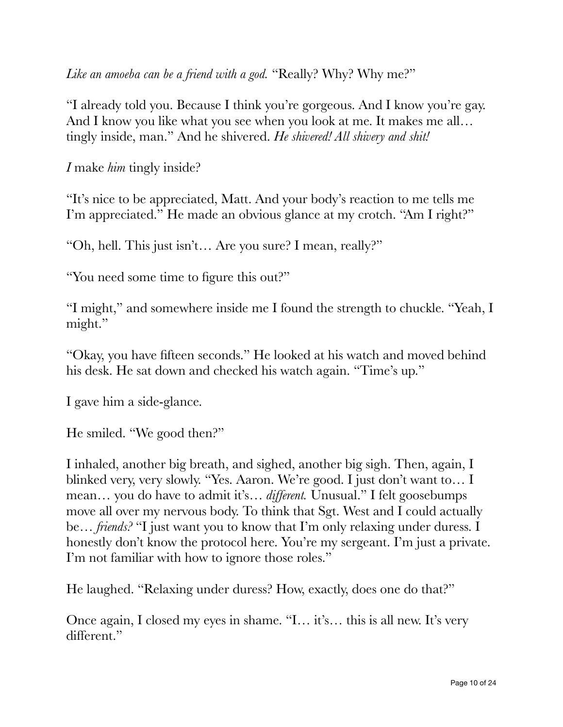*Like an amoeba can be a friend with a god.* "Really? Why? Why me?"

"I already told you. Because I think you're gorgeous. And I know you're gay. And I know you like what you see when you look at me. It makes me all... tingly inside, man." And he shivered. *He shivered! All shivery and shit!*

*I* make *him* tingly inside?

"It's nice to be appreciated, Matt. And your body's reaction to me tells me I'm appreciated." He made an obvious glance at my crotch. "Am I right?"

"Oh, hell. This just isn't… Are you sure? I mean, really?"

"You need some time to figure this out?"

"I might," and somewhere inside me I found the strength to chuckle. "Yeah, I might."

"Okay, you have fifteen seconds." He looked at his watch and moved behind his desk. He sat down and checked his watch again. "Time's up."

I gave him a side-glance.

He smiled. "We good then?"

I inhaled, another big breath, and sighed, another big sigh. Then, again, I blinked very, very slowly. "Yes. Aaron. We're good. I just don't want to… I mean… you do have to admit it's… *different.* Unusual." I felt goosebumps move all over my nervous body. To think that Sgt. West and I could actually be… *friends?* "I just want you to know that I'm only relaxing under duress. I honestly don't know the protocol here. You're my sergeant. I'm just a private. I'm not familiar with how to ignore those roles."

He laughed. "Relaxing under duress? How, exactly, does one do that?"

Once again, I closed my eyes in shame. "I… it's… this is all new. It's very different."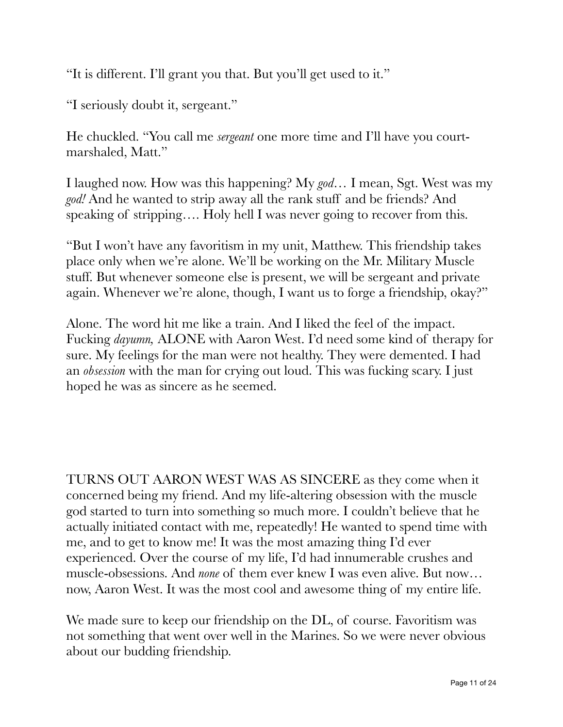"It is different. I'll grant you that. But you'll get used to it."

"I seriously doubt it, sergeant."

He chuckled. "You call me *sergeant* one more time and I'll have you courtmarshaled, Matt."

I laughed now. How was this happening? My *god…* I mean, Sgt. West was my *god!* And he wanted to strip away all the rank stuff and be friends? And speaking of stripping.... Holy hell I was never going to recover from this.

"But I won't have any favoritism in my unit, Matthew. This friendship takes place only when we're alone. We'll be working on the Mr. Military Muscle stuff. But whenever someone else is present, we will be sergeant and private again. Whenever we're alone, though, I want us to forge a friendship, okay?"

Alone. The word hit me like a train. And I liked the feel of the impact. Fucking *dayumn,* ALONE with Aaron West. I'd need some kind of therapy for sure. My feelings for the man were not healthy. They were demented. I had an *obsession* with the man for crying out loud. This was fucking scary. I just hoped he was as sincere as he seemed.

TURNS OUT AARON WEST WAS AS SINCERE as they come when it concerned being my friend. And my life-altering obsession with the muscle god started to turn into something so much more. I couldn't believe that he actually initiated contact with me, repeatedly! He wanted to spend time with me, and to get to know me! It was the most amazing thing I'd ever experienced. Over the course of my life, I'd had innumerable crushes and muscle-obsessions. And *none* of them ever knew I was even alive. But now… now, Aaron West. It was the most cool and awesome thing of my entire life.

We made sure to keep our friendship on the DL, of course. Favoritism was not something that went over well in the Marines. So we were never obvious about our budding friendship.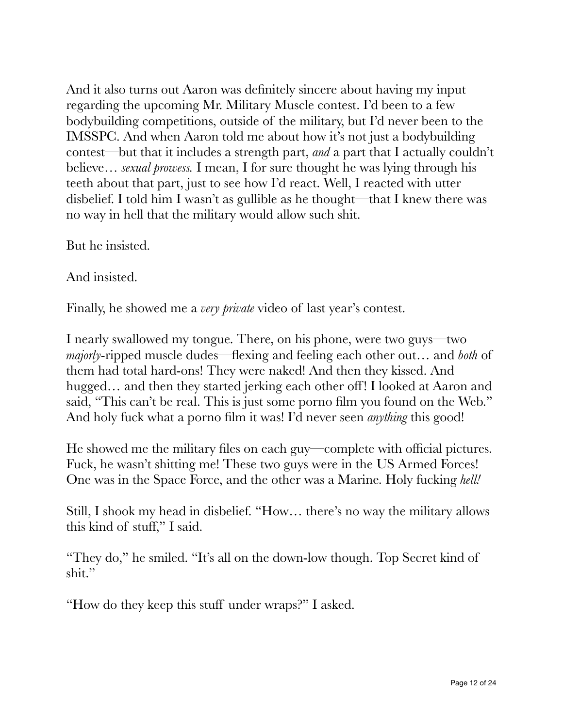And it also turns out Aaron was definitely sincere about having my input regarding the upcoming Mr. Military Muscle contest. I'd been to a few bodybuilding competitions, outside of the military, but I'd never been to the IMSSPC. And when Aaron told me about how it's not just a bodybuilding contest—but that it includes a strength part, *and* a part that I actually couldn't believe… *sexual prowess.* I mean, I for sure thought he was lying through his teeth about that part, just to see how I'd react. Well, I reacted with utter disbelief. I told him I wasn't as gullible as he thought—that I knew there was no way in hell that the military would allow such shit.

But he insisted.

And insisted.

Finally, he showed me a *very private* video of last year's contest.

I nearly swallowed my tongue. There, on his phone, were two guys—two *majorly*-ripped muscle dudes—flexing and feeling each other out… and *both* of them had total hard-ons! They were naked! And then they kissed. And hugged... and then they started jerking each other off! I looked at Aaron and said, "This can't be real. This is just some porno film you found on the Web." And holy fuck what a porno film it was! I'd never seen *anything* this good!

He showed me the military files on each guy—complete with official pictures. Fuck, he wasn't shitting me! These two guys were in the US Armed Forces! One was in the Space Force, and the other was a Marine. Holy fucking *hell!*

Still, I shook my head in disbelief. "How… there's no way the military allows this kind of stuff," I said.

"They do," he smiled. "It's all on the down-low though. Top Secret kind of shit."

"How do they keep this stuff under wraps?" I asked.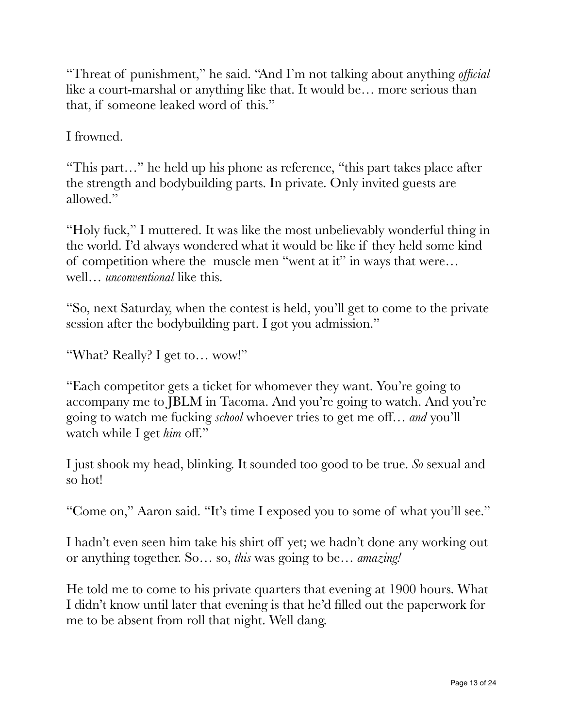"Threat of punishment," he said. "And I'm not talking about anything *official* like a court-marshal or anything like that. It would be… more serious than that, if someone leaked word of this."

I frowned.

"This part…" he held up his phone as reference, "this part takes place after the strength and bodybuilding parts. In private. Only invited guests are allowed."

"Holy fuck," I muttered. It was like the most unbelievably wonderful thing in the world. I'd always wondered what it would be like if they held some kind of competition where the muscle men "went at it" in ways that were… well… *unconventional* like this.

"So, next Saturday, when the contest is held, you'll get to come to the private session after the bodybuilding part. I got you admission."

"What? Really? I get to… wow!"

"Each competitor gets a ticket for whomever they want. You're going to accompany me to JBLM in Tacoma. And you're going to watch. And you're going to watch me fucking *school* whoever tries to get me off… *and* you'll watch while I get *him* off."

I just shook my head, blinking. It sounded too good to be true. *So* sexual and so hot!

"Come on," Aaron said. "It's time I exposed you to some of what you'll see."

I hadn't even seen him take his shirt off yet; we hadn't done any working out or anything together. So… so, *this* was going to be… *amazing!*

He told me to come to his private quarters that evening at 1900 hours. What I didn't know until later that evening is that he'd filled out the paperwork for me to be absent from roll that night. Well dang.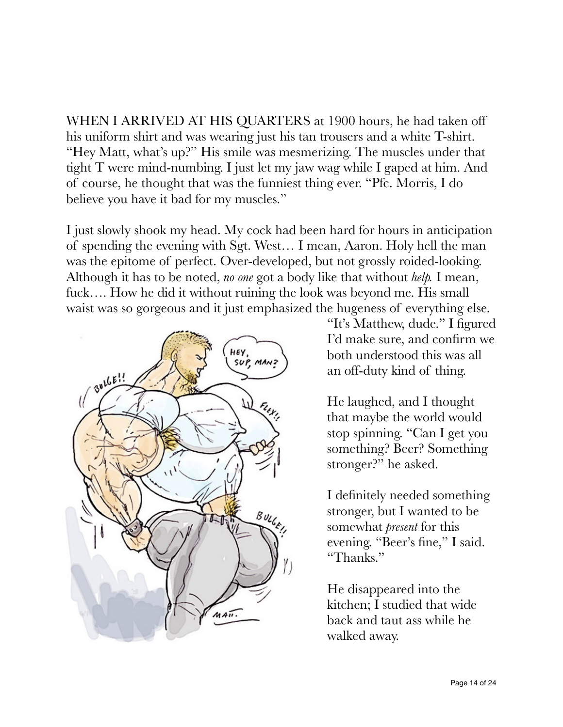WHEN I ARRIVED AT HIS QUARTERS at 1900 hours, he had taken off his uniform shirt and was wearing just his tan trousers and a white T-shirt. "Hey Matt, what's up?" His smile was mesmerizing. The muscles under that tight T were mind-numbing. I just let my jaw wag while I gaped at him. And of course, he thought that was the funniest thing ever. "Pfc. Morris, I do believe you have it bad for my muscles."

I just slowly shook my head. My cock had been hard for hours in anticipation of spending the evening with Sgt. West… I mean, Aaron. Holy hell the man was the epitome of perfect. Over-developed, but not grossly roided-looking. Although it has to be noted, *no one* got a body like that without *help.* I mean, fuck…. How he did it without ruining the look was beyond me. His small waist was so gorgeous and it just emphasized the hugeness of everything else.



"It's Matthew, dude." I figured I'd make sure, and confirm we both understood this was all an off-duty kind of thing.

He laughed, and I thought that maybe the world would stop spinning. "Can I get you something? Beer? Something stronger?" he asked.

I definitely needed something stronger, but I wanted to be somewhat *present* for this evening. "Beer's fine," I said. "Thanks."

He disappeared into the kitchen; I studied that wide back and taut ass while he walked away.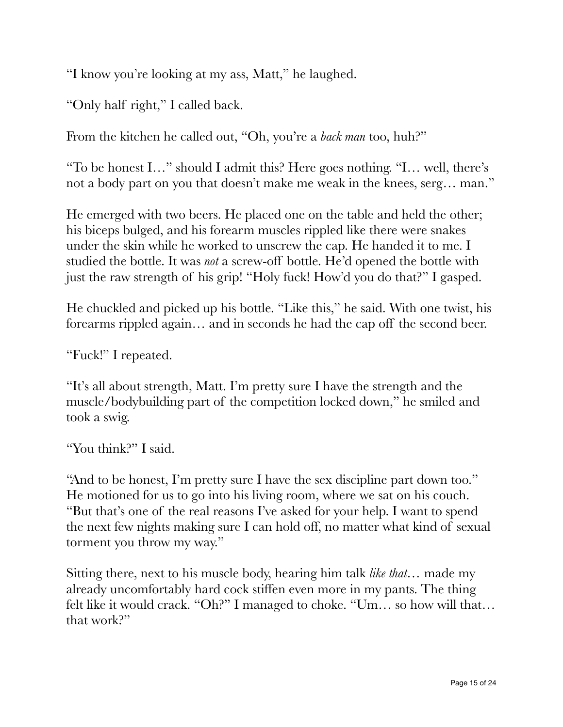"I know you're looking at my ass, Matt," he laughed.

"Only half right," I called back.

From the kitchen he called out, "Oh, you're a *back man* too, huh?"

"To be honest I…" should I admit this? Here goes nothing. "I… well, there's not a body part on you that doesn't make me weak in the knees, serg… man."

He emerged with two beers. He placed one on the table and held the other; his biceps bulged, and his forearm muscles rippled like there were snakes under the skin while he worked to unscrew the cap. He handed it to me. I studied the bottle. It was *not* a screw-off bottle. He'd opened the bottle with just the raw strength of his grip! "Holy fuck! How'd you do that?" I gasped.

He chuckled and picked up his bottle. "Like this," he said. With one twist, his forearms rippled again… and in seconds he had the cap off the second beer.

"Fuck!" I repeated.

"It's all about strength, Matt. I'm pretty sure I have the strength and the muscle/bodybuilding part of the competition locked down," he smiled and took a swig.

"You think?" I said.

"And to be honest, I'm pretty sure I have the sex discipline part down too." He motioned for us to go into his living room, where we sat on his couch. "But that's one of the real reasons I've asked for your help. I want to spend the next few nights making sure I can hold off, no matter what kind of sexual torment you throw my way."

Sitting there, next to his muscle body, hearing him talk *like that…* made my already uncomfortably hard cock stiffen even more in my pants. The thing felt like it would crack. "Oh?" I managed to choke. "Um… so how will that… that work?"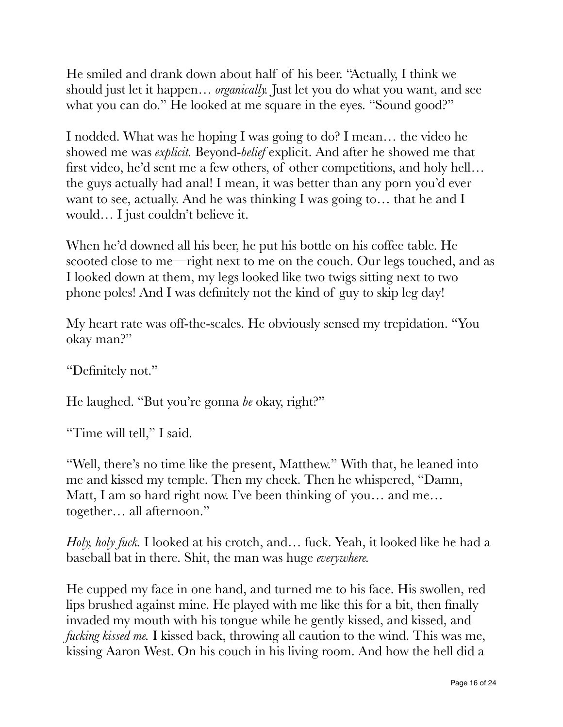He smiled and drank down about half of his beer. "Actually, I think we should just let it happen… *organically.* Just let you do what you want, and see what you can do." He looked at me square in the eyes. "Sound good?"

I nodded. What was he hoping I was going to do? I mean… the video he showed me was *explicit.* Beyond-*belief* explicit. And after he showed me that first video, he'd sent me a few others, of other competitions, and holy hell… the guys actually had anal! I mean, it was better than any porn you'd ever want to see, actually. And he was thinking I was going to… that he and I would… I just couldn't believe it.

When he'd downed all his beer, he put his bottle on his coffee table. He scooted close to me—right next to me on the couch. Our legs touched, and as I looked down at them, my legs looked like two twigs sitting next to two phone poles! And I was definitely not the kind of guy to skip leg day!

My heart rate was off-the-scales. He obviously sensed my trepidation. "You okay man?"

"Definitely not."

He laughed. "But you're gonna *be* okay, right?"

"Time will tell," I said.

"Well, there's no time like the present, Matthew." With that, he leaned into me and kissed my temple. Then my cheek. Then he whispered, "Damn, Matt, I am so hard right now. I've been thinking of you… and me… together… all afternoon."

*Holy, holy fuck.* I looked at his crotch, and… fuck. Yeah, it looked like he had a baseball bat in there. Shit, the man was huge *everywhere.*

He cupped my face in one hand, and turned me to his face. His swollen, red lips brushed against mine. He played with me like this for a bit, then finally invaded my mouth with his tongue while he gently kissed, and kissed, and *fucking kissed me.* I kissed back, throwing all caution to the wind. This was me, kissing Aaron West. On his couch in his living room. And how the hell did a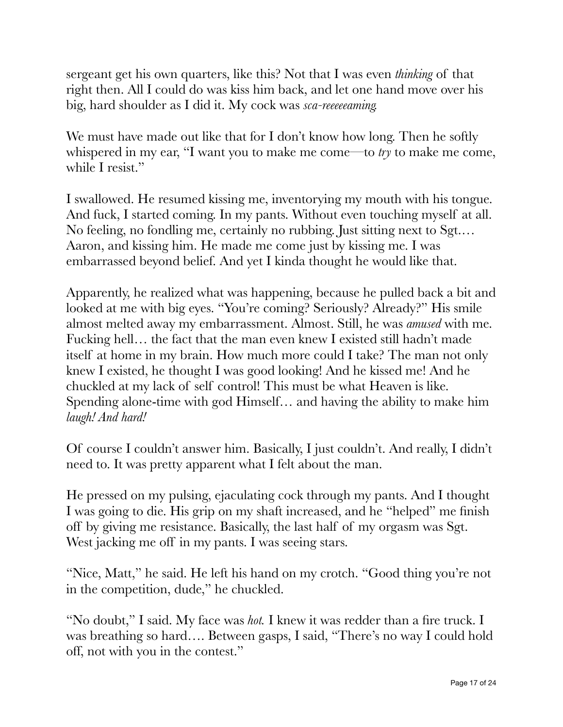sergeant get his own quarters, like this? Not that I was even *thinking* of that right then. All I could do was kiss him back, and let one hand move over his big, hard shoulder as I did it. My cock was *sca-reeeeeaming.*

We must have made out like that for I don't know how long. Then he softly whispered in my ear, "I want you to make me come—to *try* to make me come, while I resist."

I swallowed. He resumed kissing me, inventorying my mouth with his tongue. And fuck, I started coming. In my pants. Without even touching myself at all. No feeling, no fondling me, certainly no rubbing. Just sitting next to Sgt.… Aaron, and kissing him. He made me come just by kissing me. I was embarrassed beyond belief. And yet I kinda thought he would like that.

Apparently, he realized what was happening, because he pulled back a bit and looked at me with big eyes. "You're coming? Seriously? Already?" His smile almost melted away my embarrassment. Almost. Still, he was *amused* with me. Fucking hell… the fact that the man even knew I existed still hadn't made itself at home in my brain. How much more could I take? The man not only knew I existed, he thought I was good looking! And he kissed me! And he chuckled at my lack of self control! This must be what Heaven is like. Spending alone-time with god Himself… and having the ability to make him *laugh! And hard!*

Of course I couldn't answer him. Basically, I just couldn't. And really, I didn't need to. It was pretty apparent what I felt about the man.

He pressed on my pulsing, ejaculating cock through my pants. And I thought I was going to die. His grip on my shaft increased, and he "helped" me finish off by giving me resistance. Basically, the last half of my orgasm was Sgt. West jacking me off in my pants. I was seeing stars.

"Nice, Matt," he said. He left his hand on my crotch. "Good thing you're not in the competition, dude," he chuckled.

"No doubt," I said. My face was *hot.* I knew it was redder than a fire truck. I was breathing so hard…. Between gasps, I said, "There's no way I could hold off, not with you in the contest."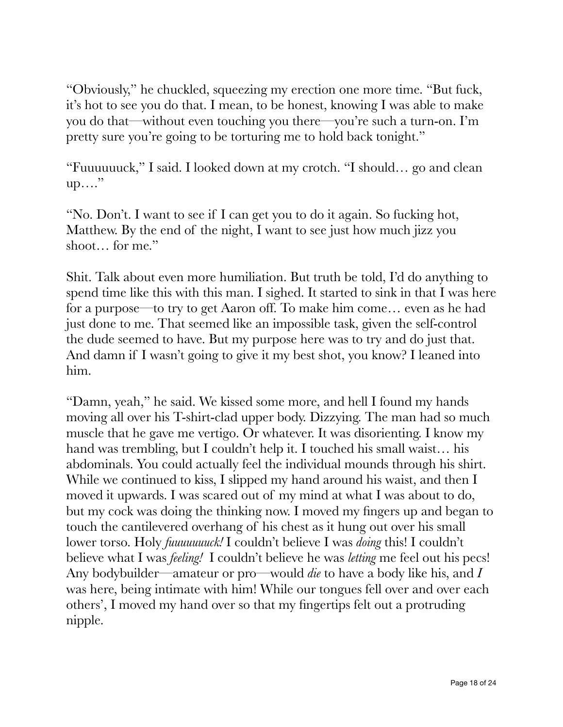"Obviously," he chuckled, squeezing my erection one more time. "But fuck, it's hot to see you do that. I mean, to be honest, knowing I was able to make you do that—without even touching you there—you're such a turn-on. I'm pretty sure you're going to be torturing me to hold back tonight."

"Fuuuuuuck," I said. I looked down at my crotch. "I should… go and clean up…."

"No. Don't. I want to see if I can get you to do it again. So fucking hot, Matthew. By the end of the night, I want to see just how much jizz you shoot… for me."

Shit. Talk about even more humiliation. But truth be told, I'd do anything to spend time like this with this man. I sighed. It started to sink in that I was here for a purpose—to try to get Aaron off. To make him come… even as he had just done to me. That seemed like an impossible task, given the self-control the dude seemed to have. But my purpose here was to try and do just that. And damn if I wasn't going to give it my best shot, you know? I leaned into him.

"Damn, yeah," he said. We kissed some more, and hell I found my hands moving all over his T-shirt-clad upper body. Dizzying. The man had so much muscle that he gave me vertigo. Or whatever. It was disorienting. I know my hand was trembling, but I couldn't help it. I touched his small waist... his abdominals. You could actually feel the individual mounds through his shirt. While we continued to kiss, I slipped my hand around his waist, and then I moved it upwards. I was scared out of my mind at what I was about to do, but my cock was doing the thinking now. I moved my fingers up and began to touch the cantilevered overhang of his chest as it hung out over his small lower torso. Holy *fuuuuuuuck!* I couldn't believe I was *doing* this! I couldn't believe what I was *feeling!* I couldn't believe he was *letting* me feel out his pecs! Any bodybuilder—amateur or pro—would *die* to have a body like his, and *I* was here, being intimate with him! While our tongues fell over and over each others', I moved my hand over so that my fingertips felt out a protruding nipple.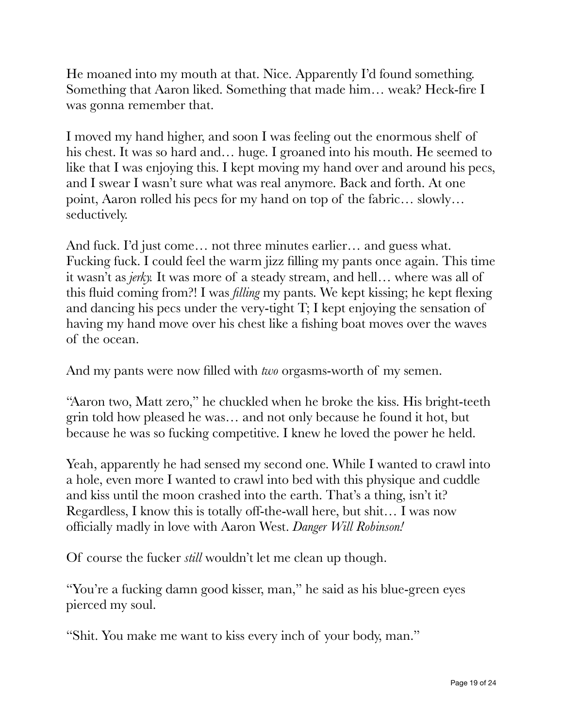He moaned into my mouth at that. Nice. Apparently I'd found something. Something that Aaron liked. Something that made him… weak? Heck-fire I was gonna remember that.

I moved my hand higher, and soon I was feeling out the enormous shelf of his chest. It was so hard and... huge. I groaned into his mouth. He seemed to like that I was enjoying this. I kept moving my hand over and around his pecs, and I swear I wasn't sure what was real anymore. Back and forth. At one point, Aaron rolled his pecs for my hand on top of the fabric… slowly… seductively.

And fuck. I'd just come… not three minutes earlier… and guess what. Fucking fuck. I could feel the warm jizz filling my pants once again. This time it wasn't as *jerky.* It was more of a steady stream, and hell… where was all of this fluid coming from?! I was *filling* my pants. We kept kissing; he kept flexing and dancing his pecs under the very-tight T; I kept enjoying the sensation of having my hand move over his chest like a fishing boat moves over the waves of the ocean.

And my pants were now filled with *two* orgasms-worth of my semen.

"Aaron two, Matt zero," he chuckled when he broke the kiss. His bright-teeth grin told how pleased he was… and not only because he found it hot, but because he was so fucking competitive. I knew he loved the power he held.

Yeah, apparently he had sensed my second one. While I wanted to crawl into a hole, even more I wanted to crawl into bed with this physique and cuddle and kiss until the moon crashed into the earth. That's a thing, isn't it? Regardless, I know this is totally off-the-wall here, but shit… I was now officially madly in love with Aaron West. *Danger Will Robinson!*

Of course the fucker *still* wouldn't let me clean up though.

"You're a fucking damn good kisser, man," he said as his blue-green eyes pierced my soul.

"Shit. You make me want to kiss every inch of your body, man."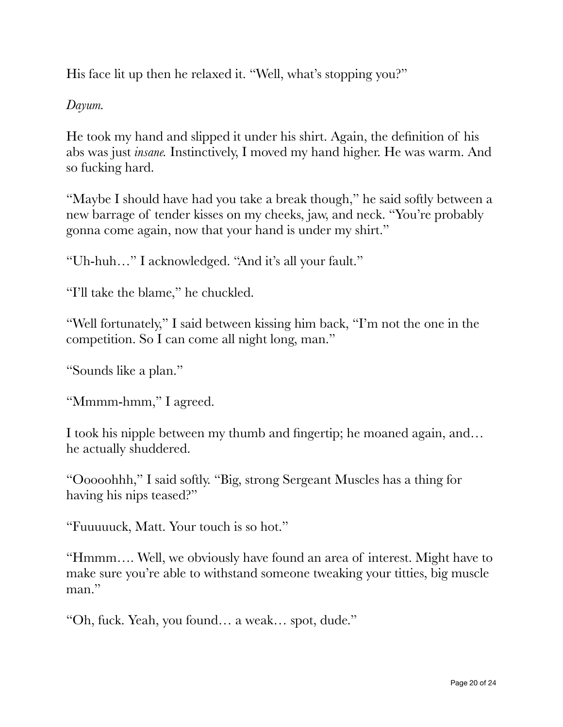His face lit up then he relaxed it. "Well, what's stopping you?"

*Dayum.*

He took my hand and slipped it under his shirt. Again, the definition of his abs was just *insane.* Instinctively, I moved my hand higher. He was warm. And so fucking hard.

"Maybe I should have had you take a break though," he said softly between a new barrage of tender kisses on my cheeks, jaw, and neck. "You're probably gonna come again, now that your hand is under my shirt."

"Uh-huh…" I acknowledged. "And it's all your fault."

"I'll take the blame," he chuckled.

"Well fortunately," I said between kissing him back, "I'm not the one in the competition. So I can come all night long, man."

"Sounds like a plan."

"Mmmm-hmm," I agreed.

I took his nipple between my thumb and fingertip; he moaned again, and… he actually shuddered.

"Ooooohhh," I said softly. "Big, strong Sergeant Muscles has a thing for having his nips teased?"

"Fuuuuuck, Matt. Your touch is so hot."

"Hmmm…. Well, we obviously have found an area of interest. Might have to make sure you're able to withstand someone tweaking your titties, big muscle man."

"Oh, fuck. Yeah, you found… a weak… spot, dude."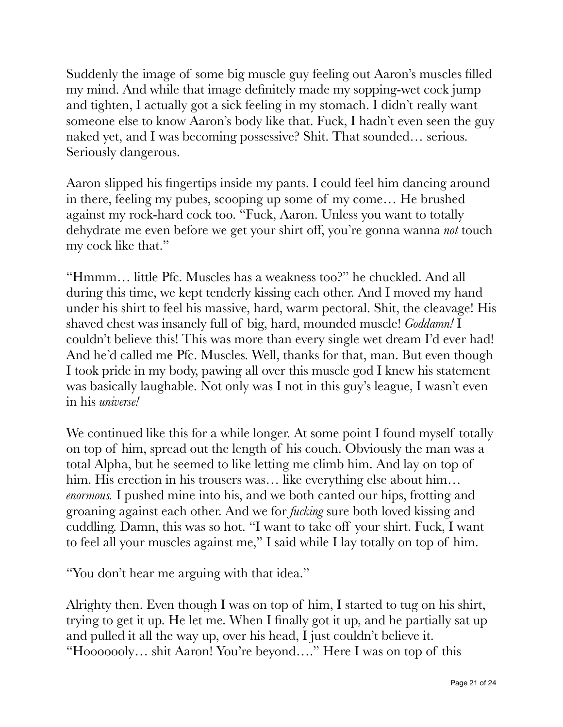Suddenly the image of some big muscle guy feeling out Aaron's muscles filled my mind. And while that image definitely made my sopping-wet cock jump and tighten, I actually got a sick feeling in my stomach. I didn't really want someone else to know Aaron's body like that. Fuck, I hadn't even seen the guy naked yet, and I was becoming possessive? Shit. That sounded… serious. Seriously dangerous.

Aaron slipped his fingertips inside my pants. I could feel him dancing around in there, feeling my pubes, scooping up some of my come… He brushed against my rock-hard cock too. "Fuck, Aaron. Unless you want to totally dehydrate me even before we get your shirt off, you're gonna wanna *not* touch my cock like that."

"Hmmm… little Pfc. Muscles has a weakness too?" he chuckled. And all during this time, we kept tenderly kissing each other. And I moved my hand under his shirt to feel his massive, hard, warm pectoral. Shit, the cleavage! His shaved chest was insanely full of big, hard, mounded muscle! *Goddamn!* I couldn't believe this! This was more than every single wet dream I'd ever had! And he'd called me Pfc. Muscles. Well, thanks for that, man. But even though I took pride in my body, pawing all over this muscle god I knew his statement was basically laughable. Not only was I not in this guy's league, I wasn't even in his *universe!*

We continued like this for a while longer. At some point I found myself totally on top of him, spread out the length of his couch. Obviously the man was a total Alpha, but he seemed to like letting me climb him. And lay on top of him. His erection in his trousers was... like everything else about him... *enormous.* I pushed mine into his, and we both canted our hips, frotting and groaning against each other. And we for *fucking* sure both loved kissing and cuddling. Damn, this was so hot. "I want to take off your shirt. Fuck, I want to feel all your muscles against me," I said while I lay totally on top of him.

"You don't hear me arguing with that idea."

Alrighty then. Even though I was on top of him, I started to tug on his shirt, trying to get it up. He let me. When I finally got it up, and he partially sat up and pulled it all the way up, over his head, I just couldn't believe it. "Hooooooly… shit Aaron! You're beyond…." Here I was on top of this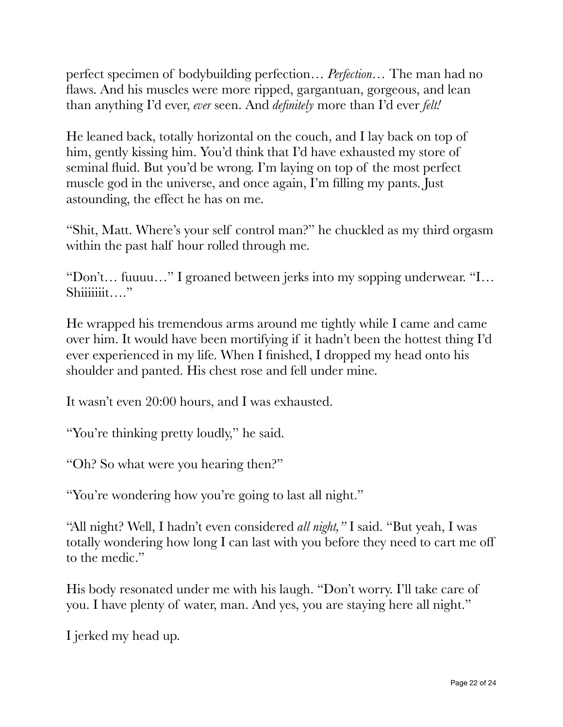perfect specimen of bodybuilding perfection… *Perfection…* The man had no flaws. And his muscles were more ripped, gargantuan, gorgeous, and lean than anything I'd ever, *ever* seen. And *definitely* more than I'd ever *felt!*

He leaned back, totally horizontal on the couch, and I lay back on top of him, gently kissing him. You'd think that I'd have exhausted my store of seminal fluid. But you'd be wrong. I'm laying on top of the most perfect muscle god in the universe, and once again, I'm filling my pants. Just astounding, the effect he has on me.

"Shit, Matt. Where's your self control man?" he chuckled as my third orgasm within the past half hour rolled through me.

"Don't… fuuuu…" I groaned between jerks into my sopping underwear. "I… Shiiiiiiit…"

He wrapped his tremendous arms around me tightly while I came and came over him. It would have been mortifying if it hadn't been the hottest thing I'd ever experienced in my life. When I finished, I dropped my head onto his shoulder and panted. His chest rose and fell under mine.

It wasn't even 20:00 hours, and I was exhausted.

"You're thinking pretty loudly," he said.

"Oh? So what were you hearing then?"

"You're wondering how you're going to last all night."

"All night? Well, I hadn't even considered *all night,"* I said. "But yeah, I was totally wondering how long I can last with you before they need to cart me off to the medic."

His body resonated under me with his laugh. "Don't worry. I'll take care of you. I have plenty of water, man. And yes, you are staying here all night."

I jerked my head up.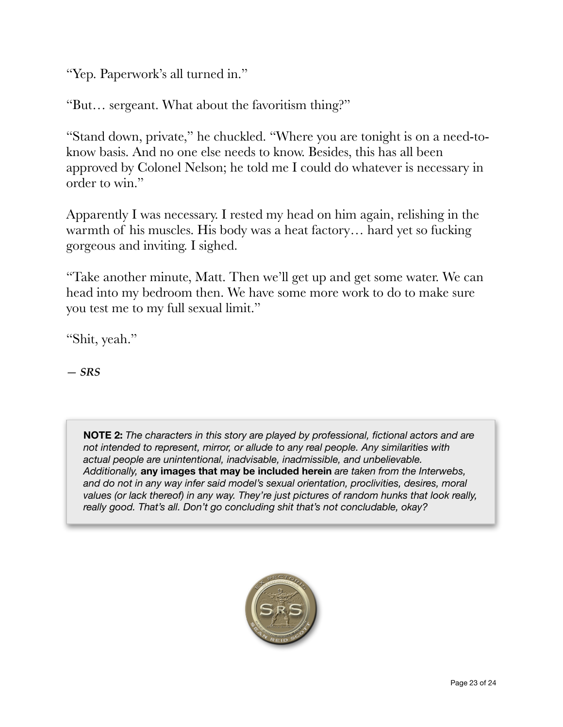"Yep. Paperwork's all turned in."

"But… sergeant. What about the favoritism thing?"

"Stand down, private," he chuckled. "Where you are tonight is on a need-toknow basis. And no one else needs to know. Besides, this has all been approved by Colonel Nelson; he told me I could do whatever is necessary in order to win."

Apparently I was necessary. I rested my head on him again, relishing in the warmth of his muscles. His body was a heat factory… hard yet so fucking gorgeous and inviting. I sighed.

"Take another minute, Matt. Then we'll get up and get some water. We can head into my bedroom then. We have some more work to do to make sure you test me to my full sexual limit."

"Shit, yeah."

*— SRS*

**NOTE 2:** *The characters in this story are played by professional, fictional actors and are not intended to represent, mirror, or allude to any real people. Any similarities with actual people are unintentional, inadvisable, inadmissible, and unbelievable. Additionally,* **any images that may be included herein** *are taken from the Interwebs, and do not in any way infer said model's sexual orientation, proclivities, desires, moral values (or lack thereof) in any way. They're just pictures of random hunks that look really, really good. That's all. Don't go concluding shit that's not concludable, okay?*